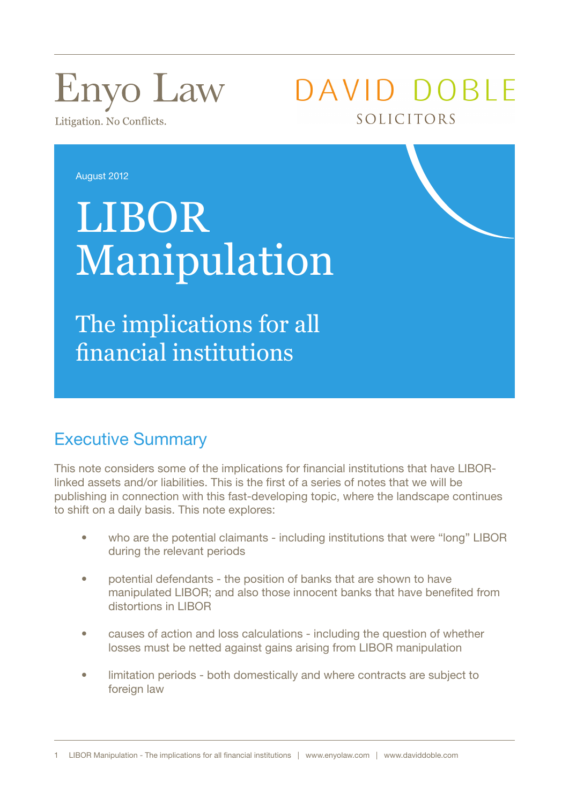# **Enyo Law**

Litigation. No Conflicts.

DAVID DOBLE SOLICITORS

August 2012

## LIBOR Manipulation

The implications for all financial institutions

## Executive Summary

This note considers some of the implications for financial institutions that have LIBORlinked assets and/or liabilities. This is the first of a series of notes that we will be publishing in connection with this fast-developing topic, where the landscape continues to shift on a daily basis. This note explores:

- who are the potential claimants including institutions that were "long" LIBOR during the relevant periods
- potential defendants the position of banks that are shown to have manipulated LIBOR; and also those innocent banks that have benefited from distortions in LIBOR
- causes of action and loss calculations including the question of whether losses must be netted against gains arising from LIBOR manipulation
- limitation periods both domestically and where contracts are subject to foreign law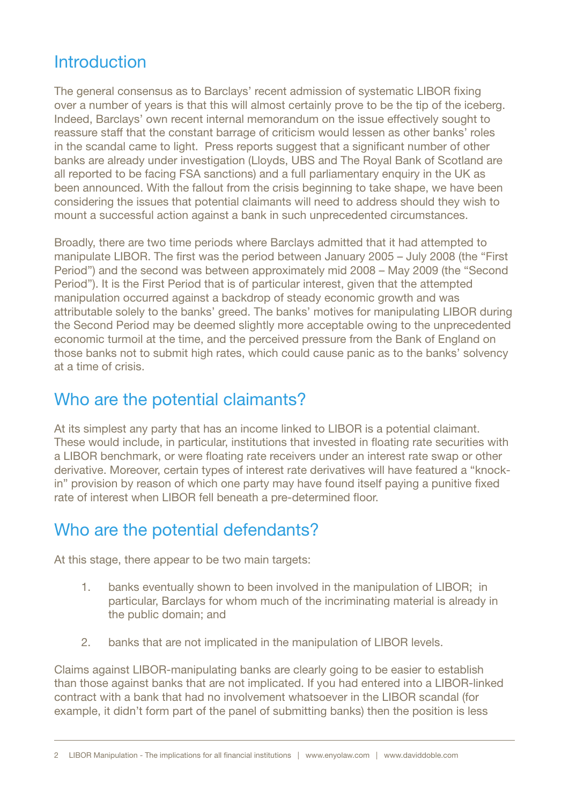## **Introduction**

The general consensus as to Barclays' recent admission of systematic LIBOR fixing over a number of years is that this will almost certainly prove to be the tip of the iceberg. Indeed, Barclays' own recent internal memorandum on the issue effectively sought to reassure staff that the constant barrage of criticism would lessen as other banks' roles in the scandal came to light. Press reports suggest that a significant number of other banks are already under investigation (Lloyds, UBS and The Royal Bank of Scotland are all reported to be facing FSA sanctions) and a full parliamentary enquiry in the UK as been announced. With the fallout from the crisis beginning to take shape, we have been considering the issues that potential claimants will need to address should they wish to mount a successful action against a bank in such unprecedented circumstances.

Broadly, there are two time periods where Barclays admitted that it had attempted to manipulate LIBOR. The first was the period between January 2005 – July 2008 (the "First Period") and the second was between approximately mid 2008 – May 2009 (the "Second Period"). It is the First Period that is of particular interest, given that the attempted manipulation occurred against a backdrop of steady economic growth and was attributable solely to the banks' greed. The banks' motives for manipulating LIBOR during the Second Period may be deemed slightly more acceptable owing to the unprecedented economic turmoil at the time, and the perceived pressure from the Bank of England on those banks not to submit high rates, which could cause panic as to the banks' solvency at a time of crisis.

## Who are the potential claimants?

At its simplest any party that has an income linked to LIBOR is a potential claimant. These would include, in particular, institutions that invested in floating rate securities with a LIBOR benchmark, or were floating rate receivers under an interest rate swap or other derivative. Moreover, certain types of interest rate derivatives will have featured a "knockin" provision by reason of which one party may have found itself paying a punitive fixed rate of interest when LIBOR fell beneath a pre-determined floor.

## Who are the potential defendants?

At this stage, there appear to be two main targets:

- 1. banks eventually shown to been involved in the manipulation of LIBOR; in particular, Barclays for whom much of the incriminating material is already in the public domain; and
- 2. banks that are not implicated in the manipulation of LIBOR levels.

Claims against LIBOR-manipulating banks are clearly going to be easier to establish than those against banks that are not implicated. If you had entered into a LIBOR-linked contract with a bank that had no involvement whatsoever in the LIBOR scandal (for example, it didn't form part of the panel of submitting banks) then the position is less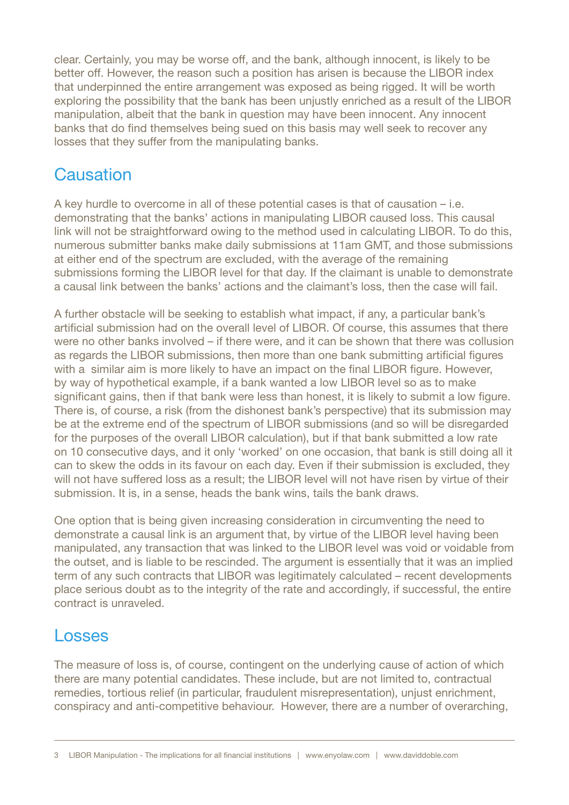clear. Certainly, you may be worse off, and the bank, although innocent, is likely to be better off. However, the reason such a position has arisen is because the LIBOR index that underpinned the entire arrangement was exposed as being rigged. It will be worth exploring the possibility that the bank has been unjustly enriched as a result of the LIBOR manipulation, albeit that the bank in question may have been innocent. Any innocent banks that do find themselves being sued on this basis may well seek to recover any losses that they suffer from the manipulating banks.

### **Causation**

A key hurdle to overcome in all of these potential cases is that of causation – i.e. demonstrating that the banks' actions in manipulating LIBOR caused loss. This causal link will not be straightforward owing to the method used in calculating LIBOR. To do this, numerous submitter banks make daily submissions at 11am GMT, and those submissions at either end of the spectrum are excluded, with the average of the remaining submissions forming the LIBOR level for that day. If the claimant is unable to demonstrate a causal link between the banks' actions and the claimant's loss, then the case will fail.

A further obstacle will be seeking to establish what impact, if any, a particular bank's artificial submission had on the overall level of LIBOR. Of course, this assumes that there were no other banks involved – if there were, and it can be shown that there was collusion as regards the LIBOR submissions, then more than one bank submitting artificial figures with a similar aim is more likely to have an impact on the final LIBOR figure. However, by way of hypothetical example, if a bank wanted a low LIBOR level so as to make significant gains, then if that bank were less than honest, it is likely to submit a low figure. There is, of course, a risk (from the dishonest bank's perspective) that its submission may be at the extreme end of the spectrum of LIBOR submissions (and so will be disregarded for the purposes of the overall LIBOR calculation), but if that bank submitted a low rate on 10 consecutive days, and it only 'worked' on one occasion, that bank is still doing all it can to skew the odds in its favour on each day. Even if their submission is excluded, they will not have suffered loss as a result; the LIBOR level will not have risen by virtue of their submission. It is, in a sense, heads the bank wins, tails the bank draws.

One option that is being given increasing consideration in circumventing the need to demonstrate a causal link is an argument that, by virtue of the LIBOR level having been manipulated, any transaction that was linked to the LIBOR level was void or voidable from the outset, and is liable to be rescinded. The argument is essentially that it was an implied term of any such contracts that LIBOR was legitimately calculated – recent developments place serious doubt as to the integrity of the rate and accordingly, if successful, the entire contract is unraveled.

#### Losses

The measure of loss is, of course, contingent on the underlying cause of action of which there are many potential candidates. These include, but are not limited to, contractual remedies, tortious relief (in particular, fraudulent misrepresentation), unjust enrichment, conspiracy and anti-competitive behaviour. However, there are a number of overarching,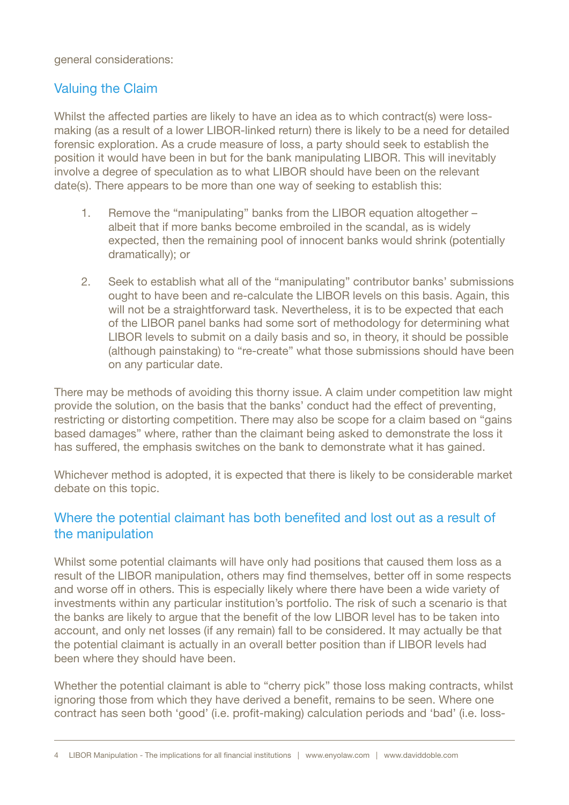general considerations:

#### Valuing the Claim

Whilst the affected parties are likely to have an idea as to which contract(s) were lossmaking (as a result of a lower LIBOR-linked return) there is likely to be a need for detailed forensic exploration. As a crude measure of loss, a party should seek to establish the position it would have been in but for the bank manipulating LIBOR. This will inevitably involve a degree of speculation as to what LIBOR should have been on the relevant date(s). There appears to be more than one way of seeking to establish this:

- 1. Remove the "manipulating" banks from the LIBOR equation altogether albeit that if more banks become embroiled in the scandal, as is widely expected, then the remaining pool of innocent banks would shrink (potentially dramatically); or
- 2. Seek to establish what all of the "manipulating" contributor banks' submissions ought to have been and re-calculate the LIBOR levels on this basis. Again, this will not be a straightforward task. Nevertheless, it is to be expected that each of the LIBOR panel banks had some sort of methodology for determining what LIBOR levels to submit on a daily basis and so, in theory, it should be possible (although painstaking) to "re-create" what those submissions should have been on any particular date.

There may be methods of avoiding this thorny issue. A claim under competition law might provide the solution, on the basis that the banks' conduct had the effect of preventing, restricting or distorting competition. There may also be scope for a claim based on "gains based damages" where, rather than the claimant being asked to demonstrate the loss it has suffered, the emphasis switches on the bank to demonstrate what it has gained.

Whichever method is adopted, it is expected that there is likely to be considerable market debate on this topic.

#### Where the potential claimant has both benefited and lost out as a result of the manipulation

Whilst some potential claimants will have only had positions that caused them loss as a result of the LIBOR manipulation, others may find themselves, better off in some respects and worse off in others. This is especially likely where there have been a wide variety of investments within any particular institution's portfolio. The risk of such a scenario is that the banks are likely to argue that the benefit of the low LIBOR level has to be taken into account, and only net losses (if any remain) fall to be considered. It may actually be that the potential claimant is actually in an overall better position than if LIBOR levels had been where they should have been.

Whether the potential claimant is able to "cherry pick" those loss making contracts, whilst ignoring those from which they have derived a benefit, remains to be seen. Where one contract has seen both 'good' (i.e. profit-making) calculation periods and 'bad' (i.e. loss-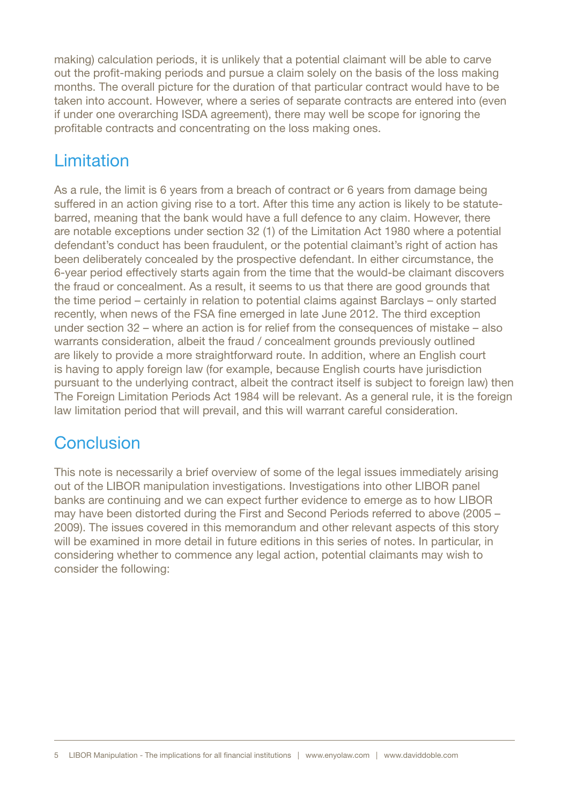making) calculation periods, it is unlikely that a potential claimant will be able to carve out the profit-making periods and pursue a claim solely on the basis of the loss making months. The overall picture for the duration of that particular contract would have to be taken into account. However, where a series of separate contracts are entered into (even if under one overarching ISDA agreement), there may well be scope for ignoring the profitable contracts and concentrating on the loss making ones.

## Limitation

As a rule, the limit is 6 years from a breach of contract or 6 years from damage being suffered in an action giving rise to a tort. After this time any action is likely to be statutebarred, meaning that the bank would have a full defence to any claim. However, there are notable exceptions under section 32 (1) of the Limitation Act 1980 where a potential defendant's conduct has been fraudulent, or the potential claimant's right of action has been deliberately concealed by the prospective defendant. In either circumstance, the 6-year period effectively starts again from the time that the would-be claimant discovers the fraud or concealment. As a result, it seems to us that there are good grounds that the time period – certainly in relation to potential claims against Barclays – only started recently, when news of the FSA fine emerged in late June 2012. The third exception under section 32 – where an action is for relief from the consequences of mistake – also warrants consideration, albeit the fraud / concealment grounds previously outlined are likely to provide a more straightforward route. In addition, where an English court is having to apply foreign law (for example, because English courts have jurisdiction pursuant to the underlying contract, albeit the contract itself is subject to foreign law) then The Foreign Limitation Periods Act 1984 will be relevant. As a general rule, it is the foreign law limitation period that will prevail, and this will warrant careful consideration.

## **Conclusion**

This note is necessarily a brief overview of some of the legal issues immediately arising out of the LIBOR manipulation investigations. Investigations into other LIBOR panel banks are continuing and we can expect further evidence to emerge as to how LIBOR may have been distorted during the First and Second Periods referred to above (2005 – 2009). The issues covered in this memorandum and other relevant aspects of this story will be examined in more detail in future editions in this series of notes. In particular, in considering whether to commence any legal action, potential claimants may wish to consider the following: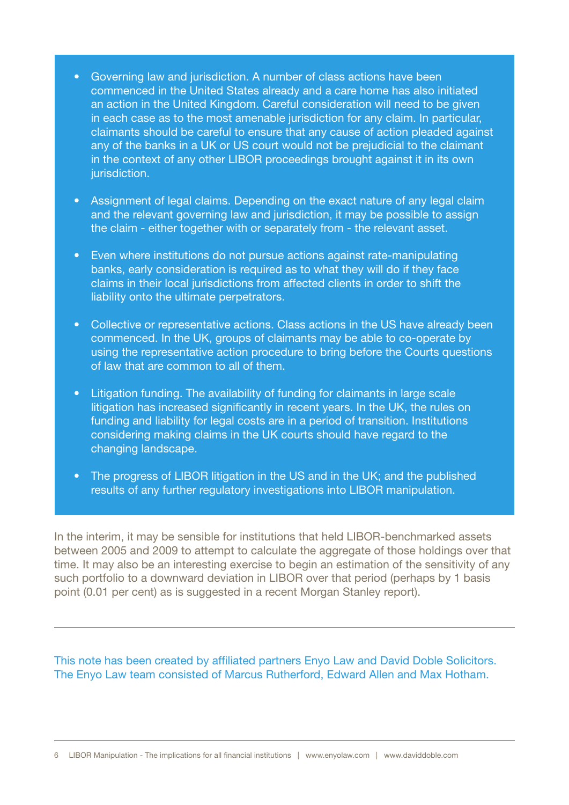- Governing law and jurisdiction. A number of class actions have been commenced in the United States already and a care home has also initiated an action in the United Kingdom. Careful consideration will need to be given in each case as to the most amenable jurisdiction for any claim. In particular, claimants should be careful to ensure that any cause of action pleaded against any of the banks in a UK or US court would not be prejudicial to the claimant in the context of any other LIBOR proceedings brought against it in its own jurisdiction.
- Assignment of legal claims. Depending on the exact nature of any legal claim and the relevant governing law and jurisdiction, it may be possible to assign the claim - either together with or separately from - the relevant asset.
- Even where institutions do not pursue actions against rate-manipulating banks, early consideration is required as to what they will do if they face claims in their local jurisdictions from affected clients in order to shift the liability onto the ultimate perpetrators.
- Collective or representative actions. Class actions in the US have already been commenced. In the UK, groups of claimants may be able to co-operate by using the representative action procedure to bring before the Courts questions of law that are common to all of them.
- Litigation funding. The availability of funding for claimants in large scale litigation has increased significantly in recent years. In the UK, the rules on funding and liability for legal costs are in a period of transition. Institutions considering making claims in the UK courts should have regard to the changing landscape.
- The progress of LIBOR litigation in the US and in the UK; and the published results of any further regulatory investigations into LIBOR manipulation.

In the interim, it may be sensible for institutions that held LIBOR-benchmarked assets between 2005 and 2009 to attempt to calculate the aggregate of those holdings over that time. It may also be an interesting exercise to begin an estimation of the sensitivity of any such portfolio to a downward deviation in LIBOR over that period (perhaps by 1 basis point (0.01 per cent) as is suggested in a recent Morgan Stanley report).

This note has been created by affiliated partners Enyo Law and David Doble Solicitors. The Enyo Law team consisted of Marcus Rutherford, Edward Allen and Max Hotham.